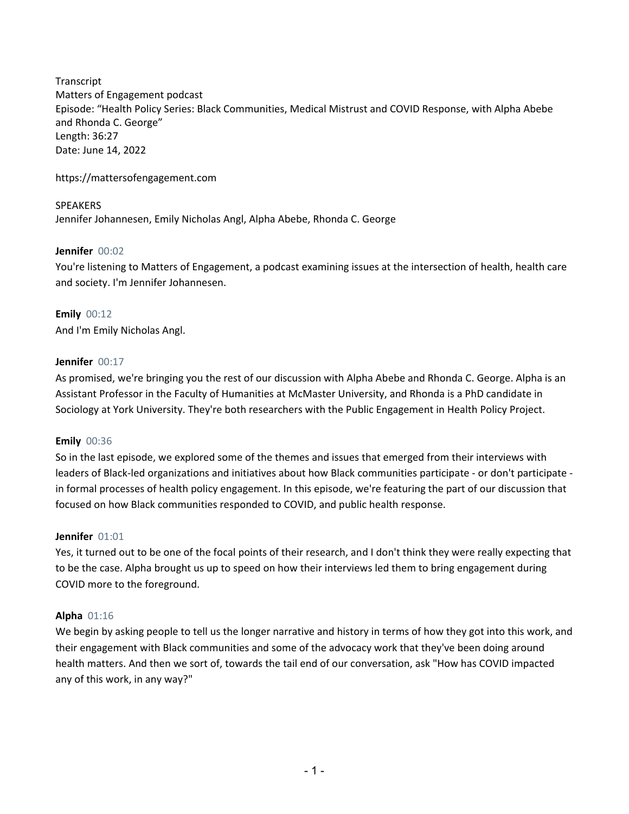Transcript Matters of Engagement podcast Episode: "Health Policy Series: Black Communities, Medical Mistrust and COVID Response, with Alpha Abebe and Rhonda C. George" Length: 36:27 Date: June 14, 2022

https://mattersofengagement.com

SPEAKERS Jennifer Johannesen, Emily Nicholas Angl, Alpha Abebe, Rhonda C. George

# **Jennifer** 00:02

You're listening to Matters of Engagement, a podcast examining issues at the intersection of health, health care and society. I'm Jennifer Johannesen.

**Emily** 00:12 And I'm Emily Nicholas Angl.

# **Jennifer** 00:17

As promised, we're bringing you the rest of our discussion with Alpha Abebe and Rhonda C. George. Alpha is an Assistant Professor in the Faculty of Humanities at McMaster University, and Rhonda is a PhD candidate in Sociology at York University. They're both researchers with the Public Engagement in Health Policy Project.

# **Emily** 00:36

So in the last episode, we explored some of the themes and issues that emerged from their interviews with leaders of Black-led organizations and initiatives about how Black communities participate - or don't participate in formal processes of health policy engagement. In this episode, we're featuring the part of our discussion that focused on how Black communities responded to COVID, and public health response.

## **Jennifer** 01:01

Yes, it turned out to be one of the focal points of their research, and I don't think they were really expecting that to be the case. Alpha brought us up to speed on how their interviews led them to bring engagement during COVID more to the foreground.

## **Alpha** 01:16

We begin by asking people to tell us the longer narrative and history in terms of how they got into this work, and their engagement with Black communities and some of the advocacy work that they've been doing around health matters. And then we sort of, towards the tail end of our conversation, ask "How has COVID impacted any of this work, in any way?"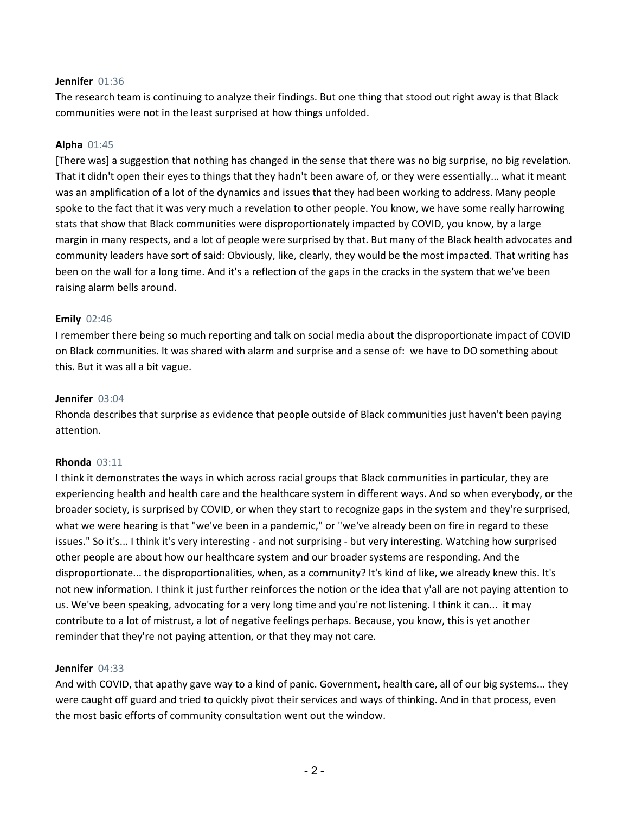#### **Jennifer** 01:36

The research team is continuing to analyze their findings. But one thing that stood out right away is that Black communities were not in the least surprised at how things unfolded.

### **Alpha** 01:45

[There was] a suggestion that nothing has changed in the sense that there was no big surprise, no big revelation. That it didn't open their eyes to things that they hadn't been aware of, or they were essentially... what it meant was an amplification of a lot of the dynamics and issues that they had been working to address. Many people spoke to the fact that it was very much a revelation to other people. You know, we have some really harrowing stats that show that Black communities were disproportionately impacted by COVID, you know, by a large margin in many respects, and a lot of people were surprised by that. But many of the Black health advocates and community leaders have sort of said: Obviously, like, clearly, they would be the most impacted. That writing has been on the wall for a long time. And it's a reflection of the gaps in the cracks in the system that we've been raising alarm bells around.

### **Emily** 02:46

I remember there being so much reporting and talk on social media about the disproportionate impact of COVID on Black communities. It was shared with alarm and surprise and a sense of: we have to DO something about this. But it was all a bit vague.

### **Jennifer** 03:04

Rhonda describes that surprise as evidence that people outside of Black communities just haven't been paying attention.

#### **Rhonda** 03:11

I think it demonstrates the ways in which across racial groups that Black communities in particular, they are experiencing health and health care and the healthcare system in different ways. And so when everybody, or the broader society, is surprised by COVID, or when they start to recognize gaps in the system and they're surprised, what we were hearing is that "we've been in a pandemic," or "we've already been on fire in regard to these issues." So it's... I think it's very interesting - and not surprising - but very interesting. Watching how surprised other people are about how our healthcare system and our broader systems are responding. And the disproportionate... the disproportionalities, when, as a community? It's kind of like, we already knew this. It's not new information. I think it just further reinforces the notion or the idea that y'all are not paying attention to us. We've been speaking, advocating for a very long time and you're not listening. I think it can... it may contribute to a lot of mistrust, a lot of negative feelings perhaps. Because, you know, this is yet another reminder that they're not paying attention, or that they may not care.

#### **Jennifer** 04:33

And with COVID, that apathy gave way to a kind of panic. Government, health care, all of our big systems... they were caught off guard and tried to quickly pivot their services and ways of thinking. And in that process, even the most basic efforts of community consultation went out the window.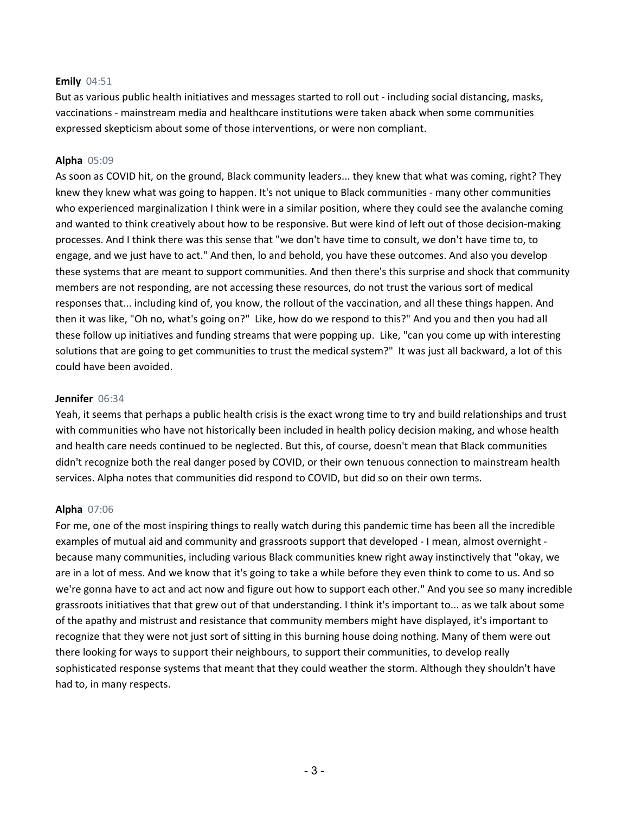### **Emily** 04:51

But as various public health initiatives and messages started to roll out - including social distancing, masks, vaccinations - mainstream media and healthcare institutions were taken aback when some communities expressed skepticism about some of those interventions, or were non compliant.

### **Alpha** 05:09

As soon as COVID hit, on the ground, Black community leaders... they knew that what was coming, right? They knew they knew what was going to happen. It's not unique to Black communities - many other communities who experienced marginalization I think were in a similar position, where they could see the avalanche coming and wanted to think creatively about how to be responsive. But were kind of left out of those decision-making processes. And I think there was this sense that "we don't have time to consult, we don't have time to, to engage, and we just have to act." And then, lo and behold, you have these outcomes. And also you develop these systems that are meant to support communities. And then there's this surprise and shock that community members are not responding, are not accessing these resources, do not trust the various sort of medical responses that... including kind of, you know, the rollout of the vaccination, and all these things happen. And then it was like, "Oh no, what's going on?" Like, how do we respond to this?" And you and then you had all these follow up initiatives and funding streams that were popping up. Like, "can you come up with interesting solutions that are going to get communities to trust the medical system?" It was just all backward, a lot of this could have been avoided.

### **Jennifer** 06:34

Yeah, it seems that perhaps a public health crisis is the exact wrong time to try and build relationships and trust with communities who have not historically been included in health policy decision making, and whose health and health care needs continued to be neglected. But this, of course, doesn't mean that Black communities didn't recognize both the real danger posed by COVID, or their own tenuous connection to mainstream health services. Alpha notes that communities did respond to COVID, but did so on their own terms.

## **Alpha** 07:06

For me, one of the most inspiring things to really watch during this pandemic time has been all the incredible examples of mutual aid and community and grassroots support that developed - I mean, almost overnight because many communities, including various Black communities knew right away instinctively that "okay, we are in a lot of mess. And we know that it's going to take a while before they even think to come to us. And so we're gonna have to act and act now and figure out how to support each other." And you see so many incredible grassroots initiatives that that grew out of that understanding. I think it's important to... as we talk about some of the apathy and mistrust and resistance that community members might have displayed, it's important to recognize that they were not just sort of sitting in this burning house doing nothing. Many of them were out there looking for ways to support their neighbours, to support their communities, to develop really sophisticated response systems that meant that they could weather the storm. Although they shouldn't have had to, in many respects.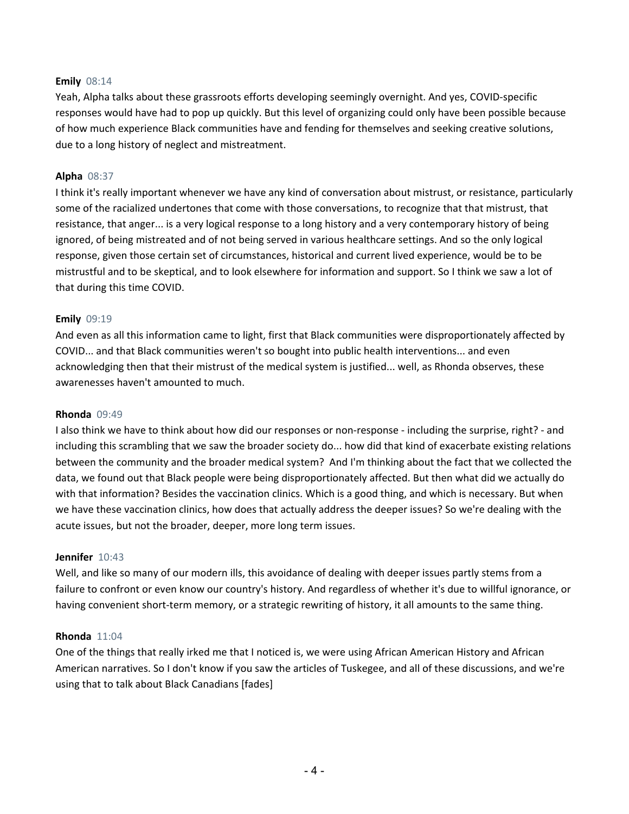### **Emily** 08:14

Yeah, Alpha talks about these grassroots efforts developing seemingly overnight. And yes, COVID-specific responses would have had to pop up quickly. But this level of organizing could only have been possible because of how much experience Black communities have and fending for themselves and seeking creative solutions, due to a long history of neglect and mistreatment.

### **Alpha** 08:37

I think it's really important whenever we have any kind of conversation about mistrust, or resistance, particularly some of the racialized undertones that come with those conversations, to recognize that that mistrust, that resistance, that anger... is a very logical response to a long history and a very contemporary history of being ignored, of being mistreated and of not being served in various healthcare settings. And so the only logical response, given those certain set of circumstances, historical and current lived experience, would be to be mistrustful and to be skeptical, and to look elsewhere for information and support. So I think we saw a lot of that during this time COVID.

### **Emily** 09:19

And even as all this information came to light, first that Black communities were disproportionately affected by COVID... and that Black communities weren't so bought into public health interventions... and even acknowledging then that their mistrust of the medical system is justified... well, as Rhonda observes, these awarenesses haven't amounted to much.

#### **Rhonda** 09:49

I also think we have to think about how did our responses or non-response - including the surprise, right? - and including this scrambling that we saw the broader society do... how did that kind of exacerbate existing relations between the community and the broader medical system? And I'm thinking about the fact that we collected the data, we found out that Black people were being disproportionately affected. But then what did we actually do with that information? Besides the vaccination clinics. Which is a good thing, and which is necessary. But when we have these vaccination clinics, how does that actually address the deeper issues? So we're dealing with the acute issues, but not the broader, deeper, more long term issues.

#### **Jennifer** 10:43

Well, and like so many of our modern ills, this avoidance of dealing with deeper issues partly stems from a failure to confront or even know our country's history. And regardless of whether it's due to willful ignorance, or having convenient short-term memory, or a strategic rewriting of history, it all amounts to the same thing.

#### **Rhonda** 11:04

One of the things that really irked me that I noticed is, we were using African American History and African American narratives. So I don't know if you saw the articles of Tuskegee, and all of these discussions, and we're using that to talk about Black Canadians [fades]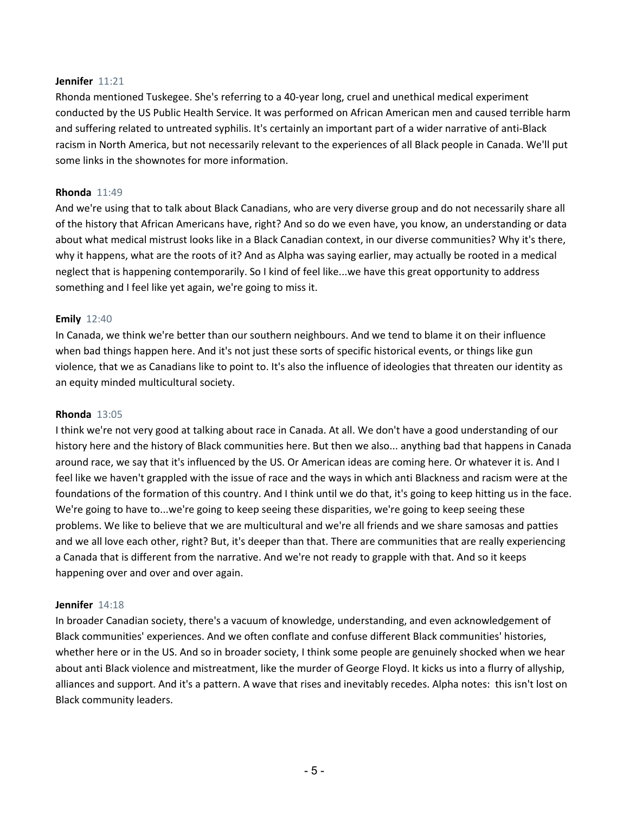#### **Jennifer** 11:21

Rhonda mentioned Tuskegee. She's referring to a 40-year long, cruel and unethical medical experiment conducted by the US Public Health Service. It was performed on African American men and caused terrible harm and suffering related to untreated syphilis. It's certainly an important part of a wider narrative of anti-Black racism in North America, but not necessarily relevant to the experiences of all Black people in Canada. We'll put some links in the shownotes for more information.

### **Rhonda** 11:49

And we're using that to talk about Black Canadians, who are very diverse group and do not necessarily share all of the history that African Americans have, right? And so do we even have, you know, an understanding or data about what medical mistrust looks like in a Black Canadian context, in our diverse communities? Why it's there, why it happens, what are the roots of it? And as Alpha was saying earlier, may actually be rooted in a medical neglect that is happening contemporarily. So I kind of feel like...we have this great opportunity to address something and I feel like yet again, we're going to miss it.

### **Emily** 12:40

In Canada, we think we're better than our southern neighbours. And we tend to blame it on their influence when bad things happen here. And it's not just these sorts of specific historical events, or things like gun violence, that we as Canadians like to point to. It's also the influence of ideologies that threaten our identity as an equity minded multicultural society.

#### **Rhonda** 13:05

I think we're not very good at talking about race in Canada. At all. We don't have a good understanding of our history here and the history of Black communities here. But then we also... anything bad that happens in Canada around race, we say that it's influenced by the US. Or American ideas are coming here. Or whatever it is. And I feel like we haven't grappled with the issue of race and the ways in which anti Blackness and racism were at the foundations of the formation of this country. And I think until we do that, it's going to keep hitting us in the face. We're going to have to...we're going to keep seeing these disparities, we're going to keep seeing these problems. We like to believe that we are multicultural and we're all friends and we share samosas and patties and we all love each other, right? But, it's deeper than that. There are communities that are really experiencing a Canada that is different from the narrative. And we're not ready to grapple with that. And so it keeps happening over and over and over again.

#### **Jennifer** 14:18

In broader Canadian society, there's a vacuum of knowledge, understanding, and even acknowledgement of Black communities' experiences. And we often conflate and confuse different Black communities' histories, whether here or in the US. And so in broader society, I think some people are genuinely shocked when we hear about anti Black violence and mistreatment, like the murder of George Floyd. It kicks us into a flurry of allyship, alliances and support. And it's a pattern. A wave that rises and inevitably recedes. Alpha notes: this isn't lost on Black community leaders.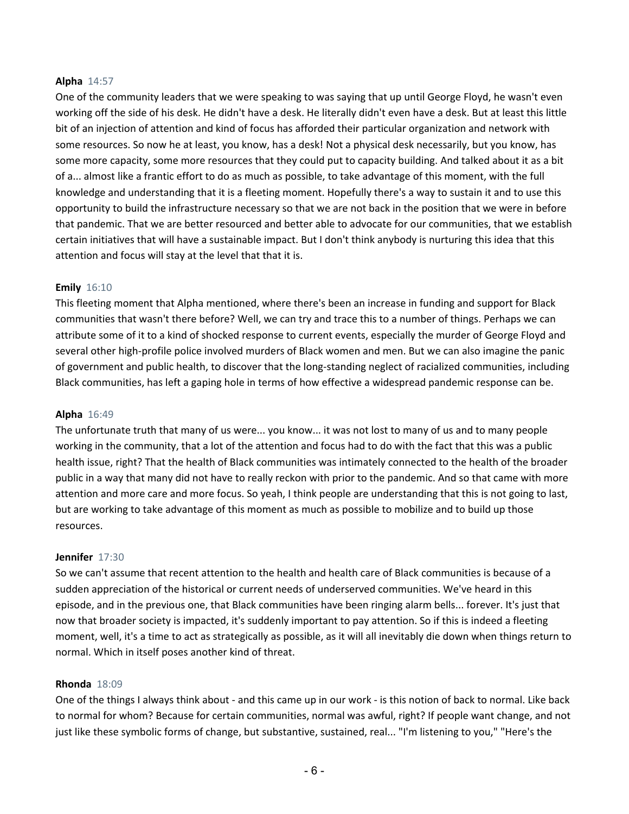### **Alpha** 14:57

One of the community leaders that we were speaking to was saying that up until George Floyd, he wasn't even working off the side of his desk. He didn't have a desk. He literally didn't even have a desk. But at least this little bit of an injection of attention and kind of focus has afforded their particular organization and network with some resources. So now he at least, you know, has a desk! Not a physical desk necessarily, but you know, has some more capacity, some more resources that they could put to capacity building. And talked about it as a bit of a... almost like a frantic effort to do as much as possible, to take advantage of this moment, with the full knowledge and understanding that it is a fleeting moment. Hopefully there's a way to sustain it and to use this opportunity to build the infrastructure necessary so that we are not back in the position that we were in before that pandemic. That we are better resourced and better able to advocate for our communities, that we establish certain initiatives that will have a sustainable impact. But I don't think anybody is nurturing this idea that this attention and focus will stay at the level that that it is.

### **Emily** 16:10

This fleeting moment that Alpha mentioned, where there's been an increase in funding and support for Black communities that wasn't there before? Well, we can try and trace this to a number of things. Perhaps we can attribute some of it to a kind of shocked response to current events, especially the murder of George Floyd and several other high-profile police involved murders of Black women and men. But we can also imagine the panic of government and public health, to discover that the long-standing neglect of racialized communities, including Black communities, has left a gaping hole in terms of how effective a widespread pandemic response can be.

#### **Alpha** 16:49

The unfortunate truth that many of us were... you know... it was not lost to many of us and to many people working in the community, that a lot of the attention and focus had to do with the fact that this was a public health issue, right? That the health of Black communities was intimately connected to the health of the broader public in a way that many did not have to really reckon with prior to the pandemic. And so that came with more attention and more care and more focus. So yeah, I think people are understanding that this is not going to last, but are working to take advantage of this moment as much as possible to mobilize and to build up those resources.

#### **Jennifer** 17:30

So we can't assume that recent attention to the health and health care of Black communities is because of a sudden appreciation of the historical or current needs of underserved communities. We've heard in this episode, and in the previous one, that Black communities have been ringing alarm bells... forever. It's just that now that broader society is impacted, it's suddenly important to pay attention. So if this is indeed a fleeting moment, well, it's a time to act as strategically as possible, as it will all inevitably die down when things return to normal. Which in itself poses another kind of threat.

#### **Rhonda** 18:09

One of the things I always think about - and this came up in our work - is this notion of back to normal. Like back to normal for whom? Because for certain communities, normal was awful, right? If people want change, and not just like these symbolic forms of change, but substantive, sustained, real... "I'm listening to you," "Here's the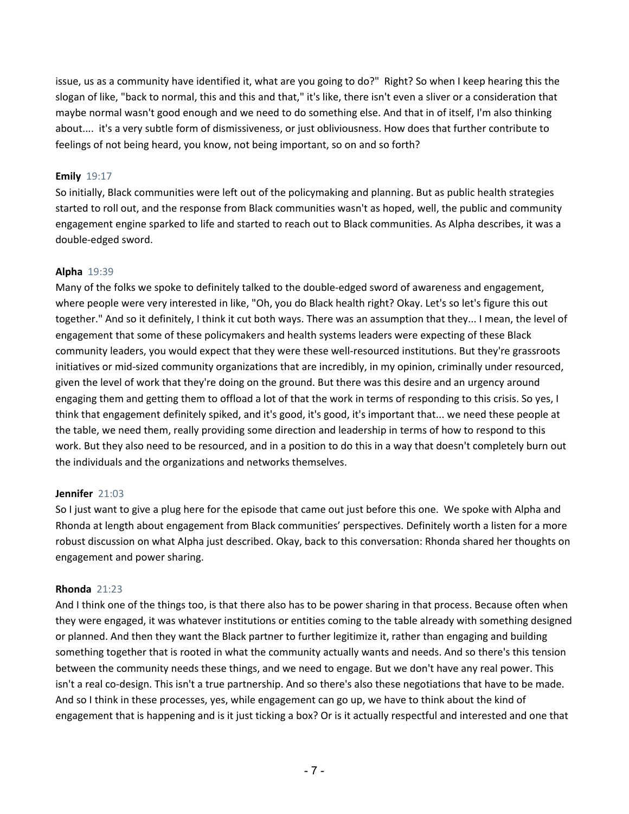issue, us as a community have identified it, what are you going to do?" Right? So when I keep hearing this the slogan of like, "back to normal, this and this and that," it's like, there isn't even a sliver or a consideration that maybe normal wasn't good enough and we need to do something else. And that in of itself, I'm also thinking about.... it's a very subtle form of dismissiveness, or just obliviousness. How does that further contribute to feelings of not being heard, you know, not being important, so on and so forth?

## **Emily** 19:17

So initially, Black communities were left out of the policymaking and planning. But as public health strategies started to roll out, and the response from Black communities wasn't as hoped, well, the public and community engagement engine sparked to life and started to reach out to Black communities. As Alpha describes, it was a double-edged sword.

# **Alpha** 19:39

Many of the folks we spoke to definitely talked to the double-edged sword of awareness and engagement, where people were very interested in like, "Oh, you do Black health right? Okay. Let's so let's figure this out together." And so it definitely, I think it cut both ways. There was an assumption that they... I mean, the level of engagement that some of these policymakers and health systems leaders were expecting of these Black community leaders, you would expect that they were these well-resourced institutions. But they're grassroots initiatives or mid-sized community organizations that are incredibly, in my opinion, criminally under resourced, given the level of work that they're doing on the ground. But there was this desire and an urgency around engaging them and getting them to offload a lot of that the work in terms of responding to this crisis. So yes, I think that engagement definitely spiked, and it's good, it's good, it's important that... we need these people at the table, we need them, really providing some direction and leadership in terms of how to respond to this work. But they also need to be resourced, and in a position to do this in a way that doesn't completely burn out the individuals and the organizations and networks themselves.

## **Jennifer** 21:03

So I just want to give a plug here for the episode that came out just before this one. We spoke with Alpha and Rhonda at length about engagement from Black communities' perspectives. Definitely worth a listen for a more robust discussion on what Alpha just described. Okay, back to this conversation: Rhonda shared her thoughts on engagement and power sharing.

## **Rhonda** 21:23

And I think one of the things too, is that there also has to be power sharing in that process. Because often when they were engaged, it was whatever institutions or entities coming to the table already with something designed or planned. And then they want the Black partner to further legitimize it, rather than engaging and building something together that is rooted in what the community actually wants and needs. And so there's this tension between the community needs these things, and we need to engage. But we don't have any real power. This isn't a real co-design. This isn't a true partnership. And so there's also these negotiations that have to be made. And so I think in these processes, yes, while engagement can go up, we have to think about the kind of engagement that is happening and is it just ticking a box? Or is it actually respectful and interested and one that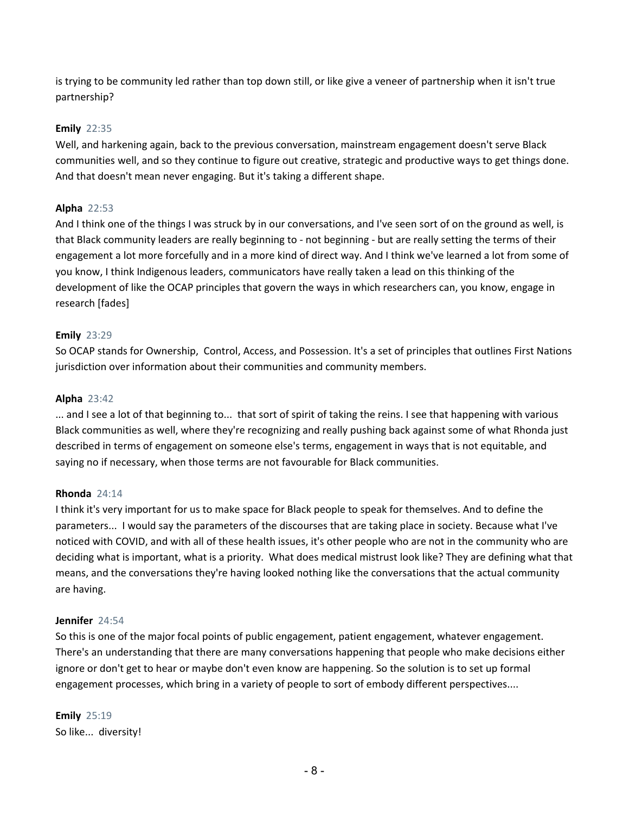is trying to be community led rather than top down still, or like give a veneer of partnership when it isn't true partnership?

# **Emily** 22:35

Well, and harkening again, back to the previous conversation, mainstream engagement doesn't serve Black communities well, and so they continue to figure out creative, strategic and productive ways to get things done. And that doesn't mean never engaging. But it's taking a different shape.

# **Alpha** 22:53

And I think one of the things I was struck by in our conversations, and I've seen sort of on the ground as well, is that Black community leaders are really beginning to - not beginning - but are really setting the terms of their engagement a lot more forcefully and in a more kind of direct way. And I think we've learned a lot from some of you know, I think Indigenous leaders, communicators have really taken a lead on this thinking of the development of like the OCAP principles that govern the ways in which researchers can, you know, engage in research [fades]

# **Emily** 23:29

So OCAP stands for Ownership, Control, Access, and Possession. It's a set of principles that outlines First Nations jurisdiction over information about their communities and community members.

# **Alpha** 23:42

... and I see a lot of that beginning to... that sort of spirit of taking the reins. I see that happening with various Black communities as well, where they're recognizing and really pushing back against some of what Rhonda just described in terms of engagement on someone else's terms, engagement in ways that is not equitable, and saying no if necessary, when those terms are not favourable for Black communities.

## **Rhonda** 24:14

I think it's very important for us to make space for Black people to speak for themselves. And to define the parameters... I would say the parameters of the discourses that are taking place in society. Because what I've noticed with COVID, and with all of these health issues, it's other people who are not in the community who are deciding what is important, what is a priority. What does medical mistrust look like? They are defining what that means, and the conversations they're having looked nothing like the conversations that the actual community are having.

## **Jennifer** 24:54

So this is one of the major focal points of public engagement, patient engagement, whatever engagement. There's an understanding that there are many conversations happening that people who make decisions either ignore or don't get to hear or maybe don't even know are happening. So the solution is to set up formal engagement processes, which bring in a variety of people to sort of embody different perspectives....

**Emily** 25:19 So like... diversity!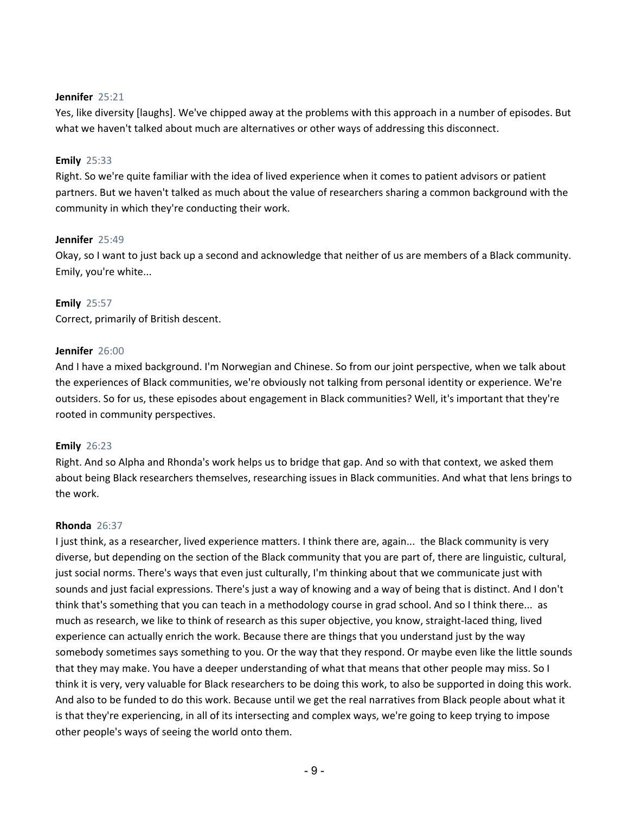### **Jennifer** 25:21

Yes, like diversity [laughs]. We've chipped away at the problems with this approach in a number of episodes. But what we haven't talked about much are alternatives or other ways of addressing this disconnect.

## **Emily** 25:33

Right. So we're quite familiar with the idea of lived experience when it comes to patient advisors or patient partners. But we haven't talked as much about the value of researchers sharing a common background with the community in which they're conducting their work.

### **Jennifer** 25:49

Okay, so I want to just back up a second and acknowledge that neither of us are members of a Black community. Emily, you're white...

### **Emily** 25:57

Correct, primarily of British descent.

### **Jennifer** 26:00

And I have a mixed background. I'm Norwegian and Chinese. So from our joint perspective, when we talk about the experiences of Black communities, we're obviously not talking from personal identity or experience. We're outsiders. So for us, these episodes about engagement in Black communities? Well, it's important that they're rooted in community perspectives.

## **Emily** 26:23

Right. And so Alpha and Rhonda's work helps us to bridge that gap. And so with that context, we asked them about being Black researchers themselves, researching issues in Black communities. And what that lens brings to the work.

## **Rhonda** 26:37

I just think, as a researcher, lived experience matters. I think there are, again... the Black community is very diverse, but depending on the section of the Black community that you are part of, there are linguistic, cultural, just social norms. There's ways that even just culturally, I'm thinking about that we communicate just with sounds and just facial expressions. There's just a way of knowing and a way of being that is distinct. And I don't think that's something that you can teach in a methodology course in grad school. And so I think there... as much as research, we like to think of research as this super objective, you know, straight-laced thing, lived experience can actually enrich the work. Because there are things that you understand just by the way somebody sometimes says something to you. Or the way that they respond. Or maybe even like the little sounds that they may make. You have a deeper understanding of what that means that other people may miss. So I think it is very, very valuable for Black researchers to be doing this work, to also be supported in doing this work. And also to be funded to do this work. Because until we get the real narratives from Black people about what it is that they're experiencing, in all of its intersecting and complex ways, we're going to keep trying to impose other people's ways of seeing the world onto them.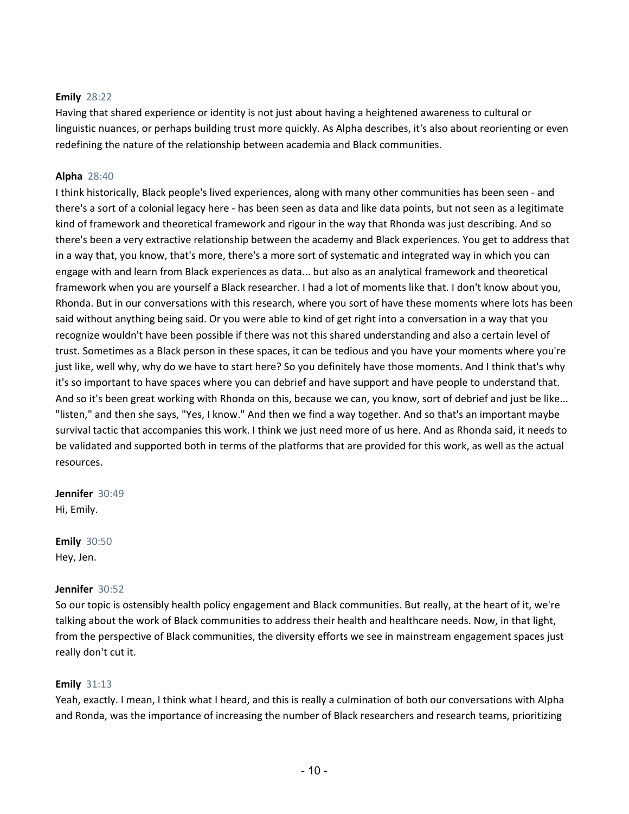# **Emily** 28:22

Having that shared experience or identity is not just about having a heightened awareness to cultural or linguistic nuances, or perhaps building trust more quickly. As Alpha describes, it's also about reorienting or even redefining the nature of the relationship between academia and Black communities.

# **Alpha** 28:40

I think historically, Black people's lived experiences, along with many other communities has been seen - and there's a sort of a colonial legacy here - has been seen as data and like data points, but not seen as a legitimate kind of framework and theoretical framework and rigour in the way that Rhonda was just describing. And so there's been a very extractive relationship between the academy and Black experiences. You get to address that in a way that, you know, that's more, there's a more sort of systematic and integrated way in which you can engage with and learn from Black experiences as data... but also as an analytical framework and theoretical framework when you are yourself a Black researcher. I had a lot of moments like that. I don't know about you, Rhonda. But in our conversations with this research, where you sort of have these moments where lots has been said without anything being said. Or you were able to kind of get right into a conversation in a way that you recognize wouldn't have been possible if there was not this shared understanding and also a certain level of trust. Sometimes as a Black person in these spaces, it can be tedious and you have your moments where you're just like, well why, why do we have to start here? So you definitely have those moments. And I think that's why it's so important to have spaces where you can debrief and have support and have people to understand that. And so it's been great working with Rhonda on this, because we can, you know, sort of debrief and just be like... "listen," and then she says, "Yes, I know." And then we find a way together. And so that's an important maybe survival tactic that accompanies this work. I think we just need more of us here. And as Rhonda said, it needs to be validated and supported both in terms of the platforms that are provided for this work, as well as the actual resources.

**Jennifer** 30:49 Hi, Emily.

**Emily** 30:50 Hey, Jen.

## **Jennifer** 30:52

So our topic is ostensibly health policy engagement and Black communities. But really, at the heart of it, we're talking about the work of Black communities to address their health and healthcare needs. Now, in that light, from the perspective of Black communities, the diversity efforts we see in mainstream engagement spaces just really don't cut it.

## **Emily** 31:13

Yeah, exactly. I mean, I think what I heard, and this is really a culmination of both our conversations with Alpha and Ronda, was the importance of increasing the number of Black researchers and research teams, prioritizing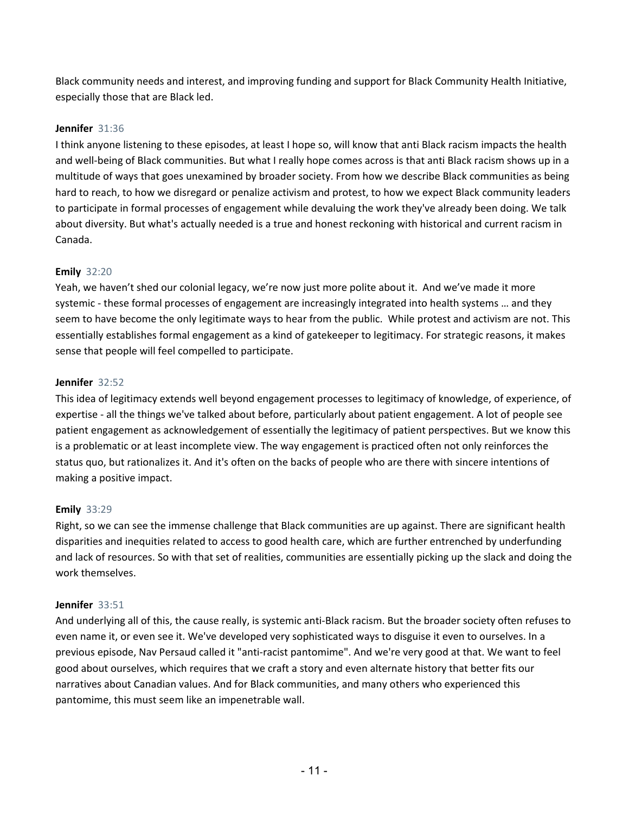Black community needs and interest, and improving funding and support for Black Community Health Initiative, especially those that are Black led.

# **Jennifer** 31:36

I think anyone listening to these episodes, at least I hope so, will know that anti Black racism impacts the health and well-being of Black communities. But what I really hope comes across is that anti Black racism shows up in a multitude of ways that goes unexamined by broader society. From how we describe Black communities as being hard to reach, to how we disregard or penalize activism and protest, to how we expect Black community leaders to participate in formal processes of engagement while devaluing the work they've already been doing. We talk about diversity. But what's actually needed is a true and honest reckoning with historical and current racism in Canada.

# **Emily** 32:20

Yeah, we haven't shed our colonial legacy, we're now just more polite about it. And we've made it more systemic - these formal processes of engagement are increasingly integrated into health systems … and they seem to have become the only legitimate ways to hear from the public. While protest and activism are not. This essentially establishes formal engagement as a kind of gatekeeper to legitimacy. For strategic reasons, it makes sense that people will feel compelled to participate.

# **Jennifer** 32:52

This idea of legitimacy extends well beyond engagement processes to legitimacy of knowledge, of experience, of expertise - all the things we've talked about before, particularly about patient engagement. A lot of people see patient engagement as acknowledgement of essentially the legitimacy of patient perspectives. But we know this is a problematic or at least incomplete view. The way engagement is practiced often not only reinforces the status quo, but rationalizes it. And it's often on the backs of people who are there with sincere intentions of making a positive impact.

## **Emily** 33:29

Right, so we can see the immense challenge that Black communities are up against. There are significant health disparities and inequities related to access to good health care, which are further entrenched by underfunding and lack of resources. So with that set of realities, communities are essentially picking up the slack and doing the work themselves.

## **Jennifer** 33:51

And underlying all of this, the cause really, is systemic anti-Black racism. But the broader society often refuses to even name it, or even see it. We've developed very sophisticated ways to disguise it even to ourselves. In a previous episode, Nav Persaud called it "anti-racist pantomime". And we're very good at that. We want to feel good about ourselves, which requires that we craft a story and even alternate history that better fits our narratives about Canadian values. And for Black communities, and many others who experienced this pantomime, this must seem like an impenetrable wall.